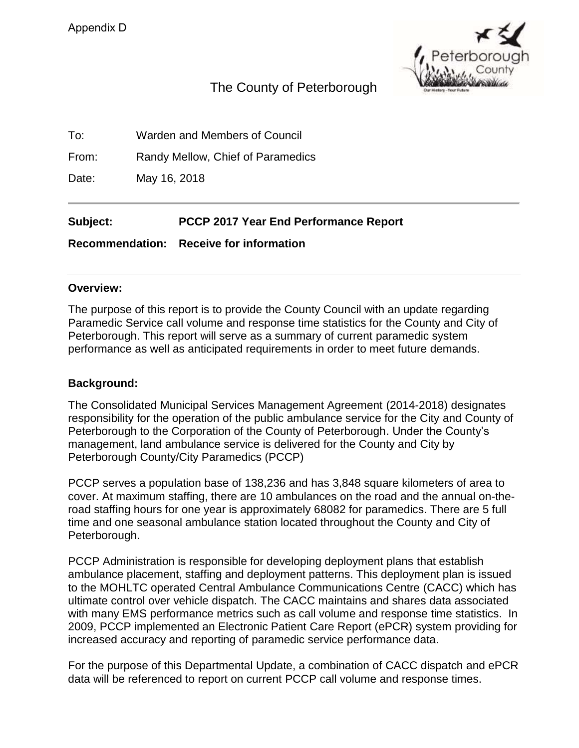

# The County of Peterborough

To: Warden and Members of Council

From: Randy Mellow, Chief of Paramedics

Date: May 16, 2018

**Subject: PCCP 2017 Year End Performance Report** 

**Recommendation: Receive for information** 

#### **Overview:**

The purpose of this report is to provide the County Council with an update regarding Paramedic Service call volume and response time statistics for the County and City of Peterborough. This report will serve as a summary of current paramedic system performance as well as anticipated requirements in order to meet future demands.

#### **Background:**

The Consolidated Municipal Services Management Agreement (2014-2018) designates responsibility for the operation of the public ambulance service for the City and County of Peterborough to the Corporation of the County of Peterborough. Under the County's management, land ambulance service is delivered for the County and City by Peterborough County/City Paramedics (PCCP)

PCCP serves a population base of 138,236 and has 3,848 square kilometers of area to cover. At maximum staffing, there are 10 ambulances on the road and the annual on-theroad staffing hours for one year is approximately 68082 for paramedics. There are 5 full time and one seasonal ambulance station located throughout the County and City of Peterborough.

PCCP Administration is responsible for developing deployment plans that establish ambulance placement, staffing and deployment patterns. This deployment plan is issued to the MOHLTC operated Central Ambulance Communications Centre (CACC) which has ultimate control over vehicle dispatch. The CACC maintains and shares data associated with many EMS performance metrics such as call volume and response time statistics. In 2009, PCCP implemented an Electronic Patient Care Report (ePCR) system providing for increased accuracy and reporting of paramedic service performance data.

For the purpose of this Departmental Update, a combination of CACC dispatch and ePCR data will be referenced to report on current PCCP call volume and response times.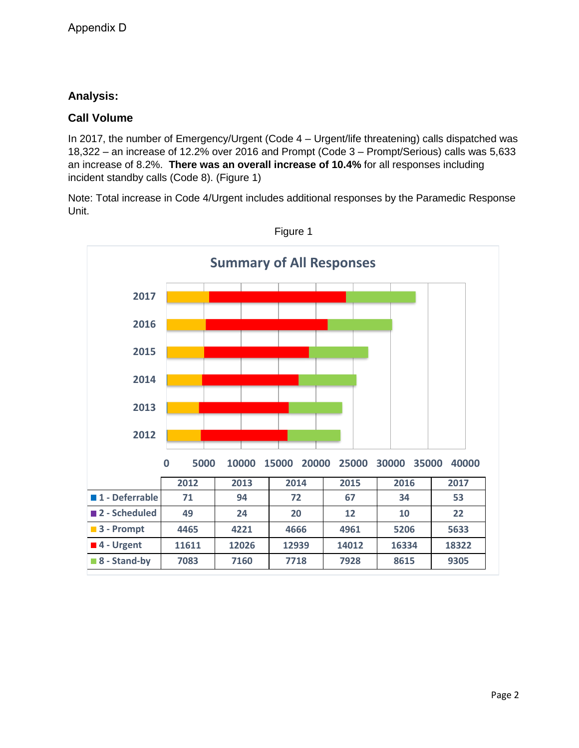## **Analysis:**

#### **Call Volume**

In 2017, the number of Emergency/Urgent (Code 4 – Urgent/life threatening) calls dispatched was 18,322 – an increase of 12.2% over 2016 and Prompt (Code 3 – Prompt/Serious) calls was 5,633 an increase of 8.2%. **There was an overall increase of 10.4%** for all responses including incident standby calls (Code 8). (Figure 1)

Note: Total increase in Code 4/Urgent includes additional responses by the Paramedic Response Unit.



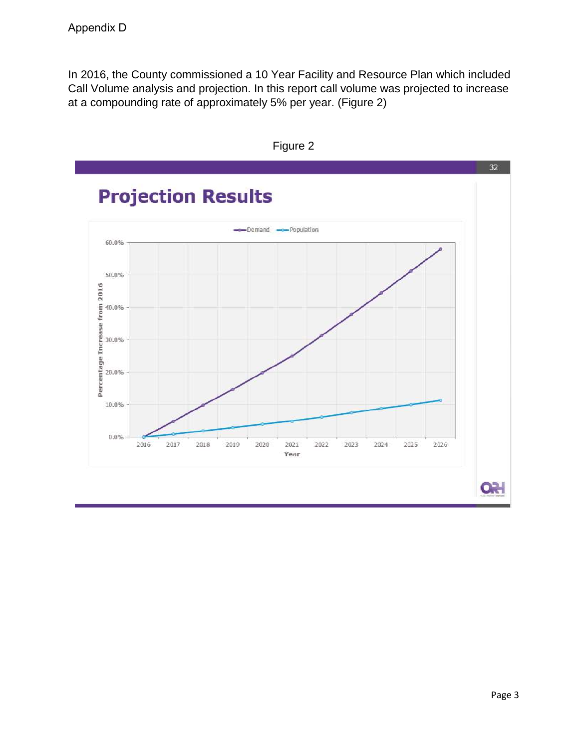In 2016, the County commissioned a 10 Year Facility and Resource Plan which included Call Volume analysis and projection. In this report call volume was projected to increase at a compounding rate of approximately 5% per year. (Figure 2)



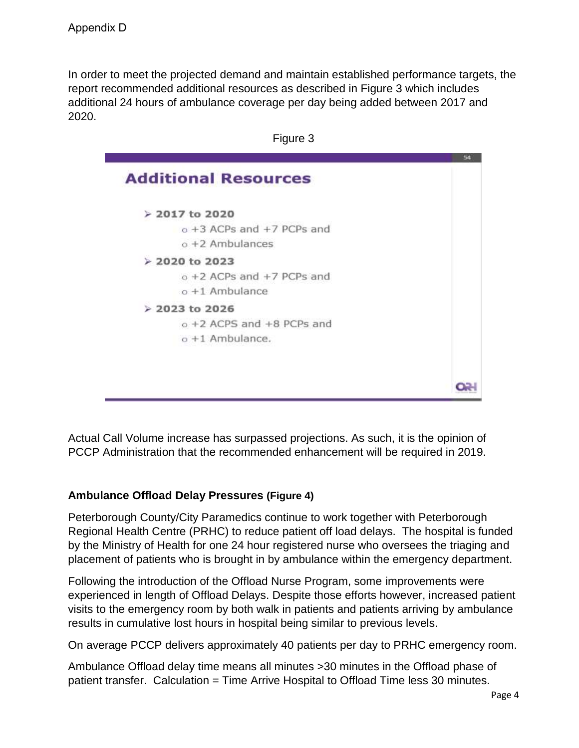In order to meet the projected demand and maintain established performance targets, the report recommended additional resources as described in Figure 3 which includes additional 24 hours of ambulance coverage per day being added between 2017 and 2020.



Actual Call Volume increase has surpassed projections. As such, it is the opinion of PCCP Administration that the recommended enhancement will be required in 2019.

## **Ambulance Offload Delay Pressures (Figure 4)**

Peterborough County/City Paramedics continue to work together with Peterborough Regional Health Centre (PRHC) to reduce patient off load delays. The hospital is funded by the Ministry of Health for one 24 hour registered nurse who oversees the triaging and placement of patients who is brought in by ambulance within the emergency department.

Following the introduction of the Offload Nurse Program, some improvements were experienced in length of Offload Delays. Despite those efforts however, increased patient visits to the emergency room by both walk in patients and patients arriving by ambulance results in cumulative lost hours in hospital being similar to previous levels.

On average PCCP delivers approximately 40 patients per day to PRHC emergency room.

Ambulance Offload delay time means all minutes >30 minutes in the Offload phase of patient transfer. Calculation = Time Arrive Hospital to Offload Time less 30 minutes.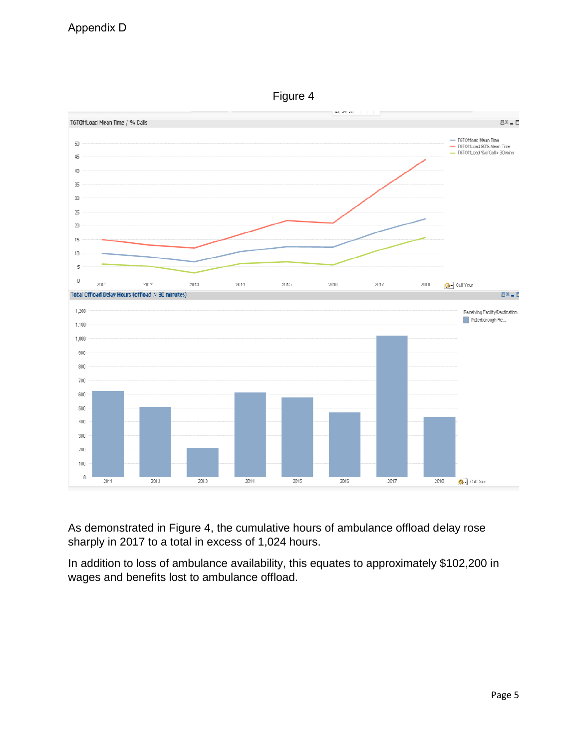

Figure 4

As demonstrated in Figure 4, the cumulative hours of ambulance offload delay rose sharply in 2017 to a total in excess of 1,024 hours.

In addition to loss of ambulance availability, this equates to approximately \$102,200 in wages and benefits lost to ambulance offload.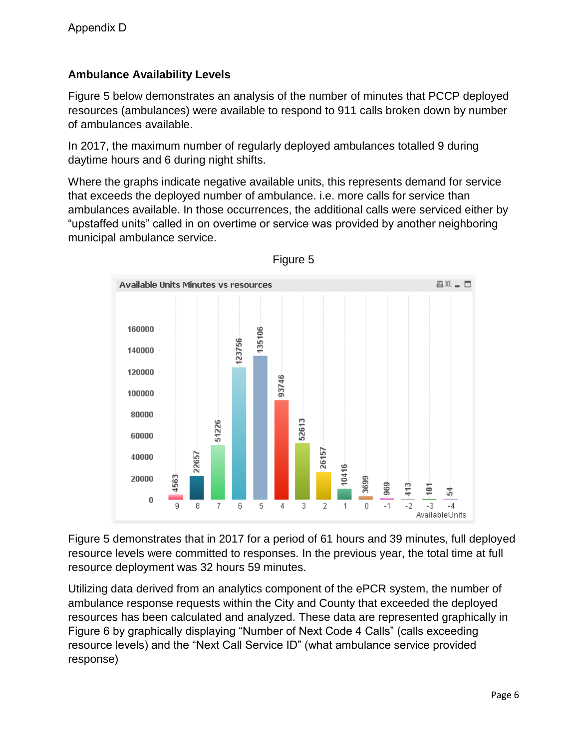## **Ambulance Availability Levels**

Figure 5 below demonstrates an analysis of the number of minutes that PCCP deployed resources (ambulances) were available to respond to 911 calls broken down by number of ambulances available.

In 2017, the maximum number of regularly deployed ambulances totalled 9 during daytime hours and 6 during night shifts.

Where the graphs indicate negative available units, this represents demand for service that exceeds the deployed number of ambulance. i.e. more calls for service than ambulances available. In those occurrences, the additional calls were serviced either by "upstaffed units" called in on overtime or service was provided by another neighboring municipal ambulance service.



Figure 5

Figure 5 demonstrates that in 2017 for a period of 61 hours and 39 minutes, full deployed resource levels were committed to responses. In the previous year, the total time at full resource deployment was 32 hours 59 minutes.

Utilizing data derived from an analytics component of the ePCR system, the number of ambulance response requests within the City and County that exceeded the deployed resources has been calculated and analyzed. These data are represented graphically in Figure 6 by graphically displaying "Number of Next Code 4 Calls" (calls exceeding resource levels) and the "Next Call Service ID" (what ambulance service provided response)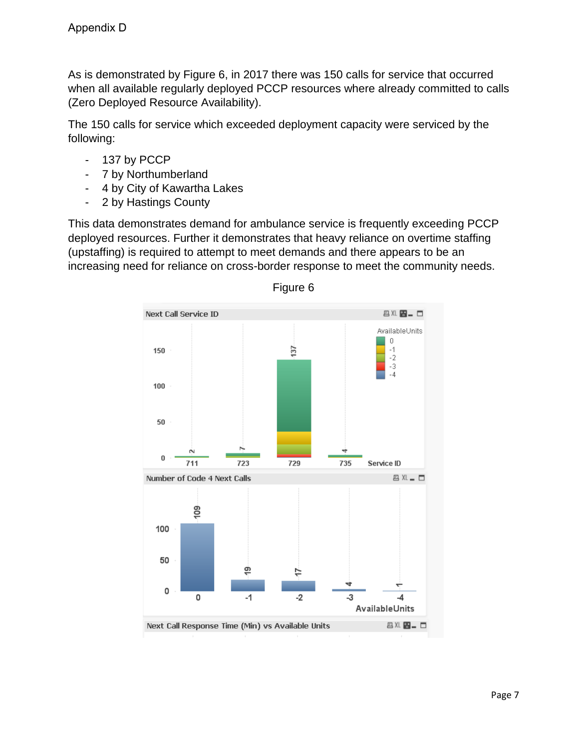As is demonstrated by Figure 6, in 2017 there was 150 calls for service that occurred when all available regularly deployed PCCP resources where already committed to calls (Zero Deployed Resource Availability).

The 150 calls for service which exceeded deployment capacity were serviced by the following:

- 137 by PCCP
- 7 by Northumberland
- 4 by City of Kawartha Lakes
- 2 by Hastings County

This data demonstrates demand for ambulance service is frequently exceeding PCCP deployed resources. Further it demonstrates that heavy reliance on overtime staffing (upstaffing) is required to attempt to meet demands and there appears to be an increasing need for reliance on cross-border response to meet the community needs.



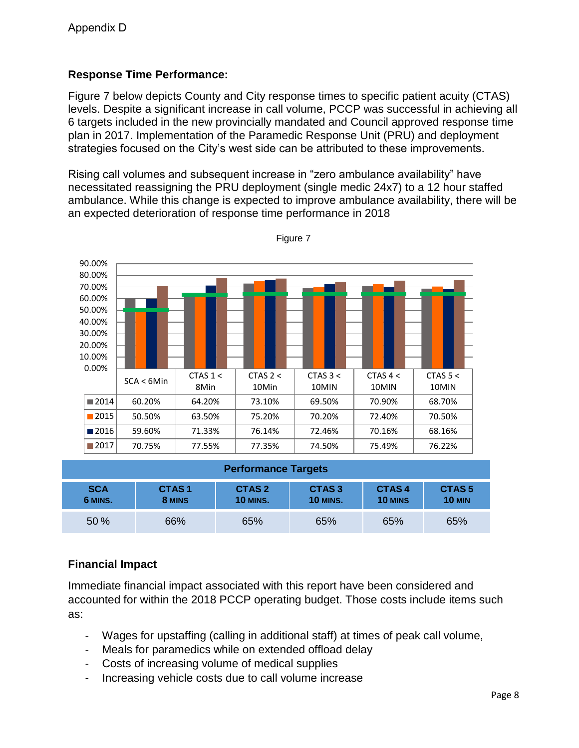## **Response Time Performance:**

Figure 7 below depicts County and City response times to specific patient acuity (CTAS) levels. Despite a significant increase in call volume, PCCP was successful in achieving all 6 targets included in the new provincially mandated and Council approved response time plan in 2017. Implementation of the Paramedic Response Unit (PRU) and deployment strategies focused on the City's west side can be attributed to these improvements.

Rising call volumes and subsequent increase in "zero ambulance availability" have necessitated reassigning the PRU deployment (single medic 24x7) to a 12 hour staffed ambulance. While this change is expected to improve ambulance availability, there will be an expected deterioration of response time performance in 2018



Figure 7

| <b>Performance Targets</b> |                             |                                      |                                      |                  |                                    |
|----------------------------|-----------------------------|--------------------------------------|--------------------------------------|------------------|------------------------------------|
| <b>SCA</b><br>6 MINS.      | CTAS <sub>1</sub><br>8 MINS | CTAS <sub>2</sub><br><b>10 MINS.</b> | CTAS <sub>3</sub><br><b>10 MINS.</b> | CTAS4<br>10 MINS | CTAS <sub>5</sub><br><b>10 MIN</b> |
| 50 %                       | 66%                         | 65%                                  | 65%                                  | 65%              | 65%                                |

## **Financial Impact**

Immediate financial impact associated with this report have been considered and accounted for within the 2018 PCCP operating budget. Those costs include items such as:

- Wages for upstaffing (calling in additional staff) at times of peak call volume,
- Meals for paramedics while on extended offload delay
- Costs of increasing volume of medical supplies
- Increasing vehicle costs due to call volume increase